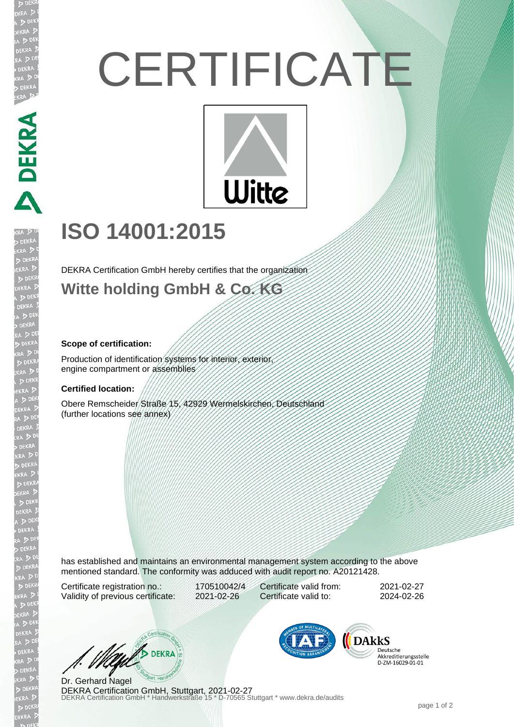# **CERTIFICATE**



## **ISO 14001:2015**

DEKRA Certification GmbH hereby certifies that the organization

### **Witte holding GmbH & Co. KG**

#### **Scope of certification:**

DEKRA DEKRA

EKR

Production of identification systems for interior, exterior, engine compartment or assemblies

#### **Certified location:**

Obere Remscheider Straße 15, 42929 Wermelskirchen, Deutschland (further locations see annex)

has established and maintains an environmental management system according to the above mentioned standard. The conformity was adduced with audit report no. A20121428.

Certificate registration no.: 170510042/4 Validity of previous certificate: 2021-02-26

Certificate valid from: 2021-02-27 Certificate valid to: 2024-02-26

West DEKRA

**DEKRA Certification GmbH, Stuttgart, 2021-02-27**<br>DEKRA Certification GmbH \* Handwerkstraße 15 \* D-70565 Stuttgart \* www.dekra.de/audits Dr. Gerhard Nagel



Deutsche Akkreditierungsstelle D-ZM-16029-01-01